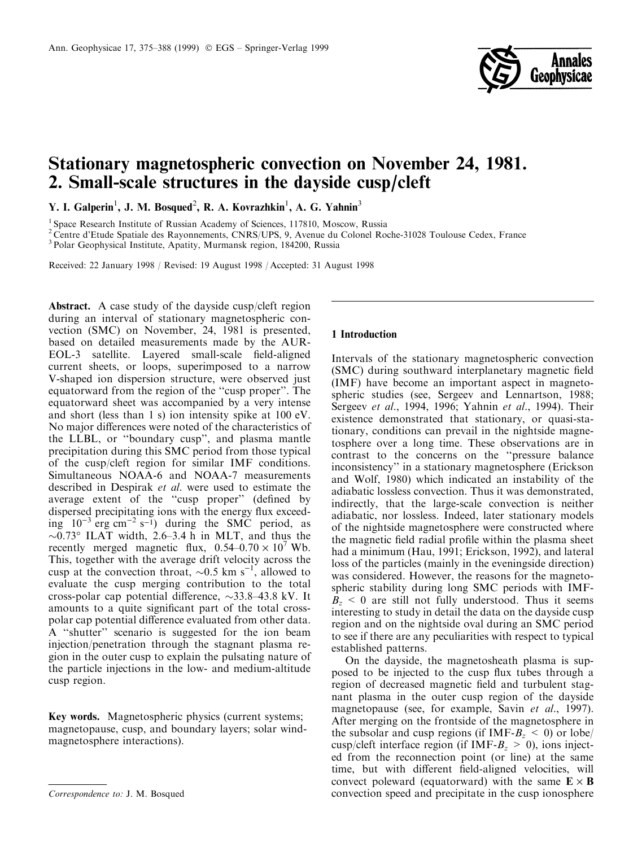

# Stationary magnetospheric convection on November 24, 1981. 2. Small-scale structures in the dayside cusp/cleft

Y. I. Galperin<sup>1</sup>, J. M. Bosqued<sup>2</sup>, R. A. Kovrazhkin<sup>1</sup>, A. G. Yahnin<sup>3</sup>

<sup>1</sup> Space Research Institute of Russian Academy of Sciences, 117810, Moscow, Russia

<sup>2</sup> Centre d'Etude Spatiale des Rayonnements, CNRS/UPS, 9, Avenue du Colonel Roche-31028 Toulouse Cedex, France

<sup>3</sup> Polar Geophysical Institute, Apatity, Murmansk region, 184200, Russia

Received: 22 January 1998 / Revised: 19 August 1998 / Accepted: 31 August 1998

Abstract. A case study of the dayside cusp/cleft region during an interval of stationary magnetospheric convection (SMC) on November, 24, 1981 is presented, based on detailed measurements made by the AUR-EOL-3 satellite. Layered small-scale field-aligned current sheets, or loops, superimposed to a narrow V-shaped ion dispersion structure, were observed just equatorward from the region of the "cusp proper". The equatorward sheet was accompanied by a very intense and short (less than 1 s) ion intensity spike at 100 eV. No major differences were noted of the characteristics of the LLBL, or "boundary cusp", and plasma mantle precipitation during this SMC period from those typical of the cusp/cleft region for similar IMF conditions. Simultaneous NOAA-6 and NOAA-7 measurements described in Despirak et al. were used to estimate the average extent of the "cusp proper" (defined by dispersed precipitating ions with the energy flux exceeding  $10^{-3}$  erg cm<sup>-2</sup> s<sup>-1</sup>) during the SMC period, as  $\sim 0.73$ ° ILAT width, 2.6–3.4 h in MLT, and thus the recently merged magnetic flux,  $0.54-0.70 \times 10^7$  Wb. This, together with the average drift velocity across the cusp at the convection throat,  $\sim 0.5$  km s<sup>-1</sup>, allowed to evaluate the cusp merging contribution to the total cross-polar cap potential difference,  $\sim$ 33.8–43.8 kV. It amounts to a quite significant part of the total crosspolar cap potential difference evaluated from other data. A "shutter" scenario is suggested for the ion beam injection/penetration through the stagnant plasma region in the outer cusp to explain the pulsating nature of the particle injections in the low- and medium-altitude cusp region.

Key words. Magnetospheric physics (current systems; magnetopause, cusp, and boundary layers; solar windmagnetosphere interactions).

### 1 Introduction

Intervals of the stationary magnetospheric convection (SMC) during southward interplanetary magnetic field (IMF) have become an important aspect in magnetospheric studies (see, Sergeev and Lennartson, 1988; Sergeev et al., 1994, 1996; Yahnin et al., 1994). Their existence demonstrated that stationary, or quasi-stationary, conditions can prevail in the nightside magnetosphere over a long time. These observations are in contrast to the concerns on the "pressure balance" inconsistency'' in a stationary magnetosphere (Erickson and Wolf, 1980) which indicated an instability of the adiabatic lossless convection. Thus it was demonstrated, indirectly, that the large-scale convection is neither adiabatic, nor lossless. Indeed, later stationary models of the nightside magnetosphere were constructed where the magnetic field radial profile within the plasma sheet had a minimum (Hau, 1991; Erickson, 1992), and lateral loss of the particles (mainly in the eveningside direction) was considered. However, the reasons for the magnetospheric stability during long SMC periods with IMF- $B<sub>z</sub> < 0$  are still not fully understood. Thus it seems interesting to study in detail the data on the dayside cusp region and on the nightside oval during an SMC period to see if there are any peculiarities with respect to typical established patterns.

On the dayside, the magnetosheath plasma is supposed to be injected to the cusp flux tubes through a region of decreased magnetic field and turbulent stagnant plasma in the outer cusp region of the dayside magnetopause (see, for example, Savin et al., 1997). After merging on the frontside of the magnetosphere in the subsolar and cusp regions (if IMF- $B_z \le 0$ ) or lobe/ cusp/cleft interface region (if IMF- $B_z > 0$ ), ions injected from the reconnection point (or line) at the same time, but with different field-aligned velocities, will convect poleward (equatorward) with the same  $\mathbf{E} \times \mathbf{B}$ Correspondence to: J. M. Bosqued convection speed and precipitate in the cusp ionosphere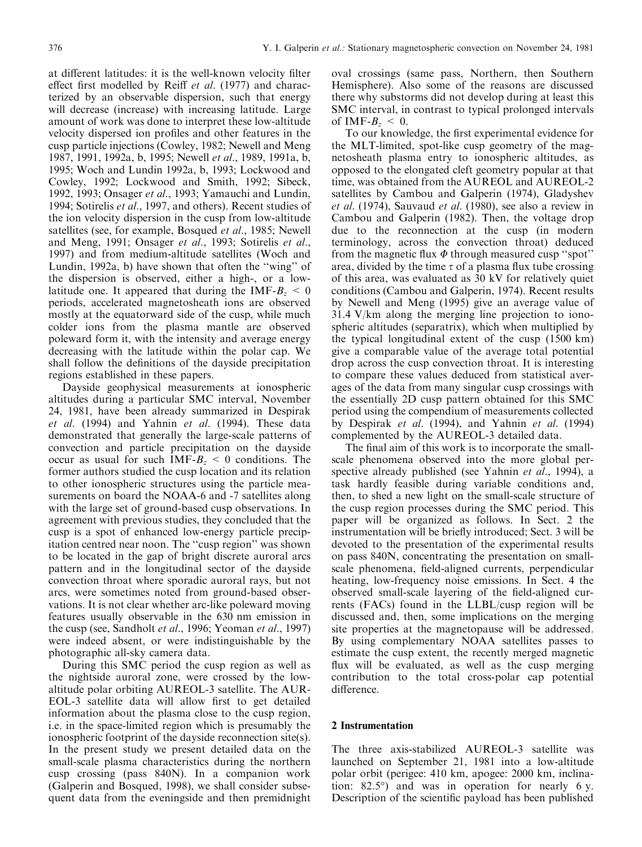at different latitudes: it is the well-known velocity filter effect first modelled by Reiff et al. (1977) and characterized by an observable dispersion, such that energy will decrease (increase) with increasing latitude. Large amount of work was done to interpret these low-altitude velocity dispersed ion profiles and other features in the cusp particle injections (Cowley, 1982; Newell and Meng 1987, 1991, 1992a, b, 1995; Newell et al., 1989, 1991a, b, 1995; Woch and Lundin 1992a, b, 1993; Lockwood and Cowley, 1992; Lockwood and Smith, 1992; Sibeck, 1992, 1993; Onsager et al., 1993; Yamauchi and Lundin, 1994; Sotirelis et al., 1997, and others). Recent studies of the ion velocity dispersion in the cusp from low-altitude satellites (see, for example, Bosqued *et al.*, 1985; Newell and Meng, 1991; Onsager et al., 1993; Sotirelis et al., 1997) and from medium-altitude satellites (Woch and Lundin, 1992a, b) have shown that often the "wing" of the dispersion is observed, either a high-, or a lowlatitude one. It appeared that during the IMF- $B_z \le 0$ periods, accelerated magnetosheath ions are observed mostly at the equatorward side of the cusp, while much colder ions from the plasma mantle are observed poleward form it, with the intensity and average energy decreasing with the latitude within the polar cap. We shall follow the definitions of the dayside precipitation regions established in these papers.

Dayside geophysical measurements at ionospheric altitudes during a particular SMC interval, November 24, 1981, have been already summarized in Despirak et al. (1994) and Yahnin et al. (1994). These data demonstrated that generally the large-scale patterns of convection and particle precipitation on the dayside occur as usual for such IMF- $B<sub>z</sub> < 0$  conditions. The former authors studied the cusp location and its relation to other ionospheric structures using the particle measurements on board the NOAA-6 and -7 satellites along with the large set of ground-based cusp observations. In agreement with previous studies, they concluded that the cusp is a spot of enhanced low-energy particle precipitation centred near noon. The "cusp region" was shown to be located in the gap of bright discrete auroral arcs pattern and in the longitudinal sector of the dayside convection throat where sporadic auroral rays, but not arcs, were sometimes noted from ground-based observations. It is not clear whether arc-like poleward moving features usually observable in the 630 nm emission in the cusp (see, Sandholt et al., 1996; Yeoman et al., 1997) were indeed absent, or were indistinguishable by the photographic all-sky camera data.

During this SMC period the cusp region as well as the nightside auroral zone, were crossed by the lowaltitude polar orbiting AUREOL-3 satellite. The AUR-EOL-3 satellite data will allow first to get detailed information about the plasma close to the cusp region, i.e. in the space-limited region which is presumably the ionospheric footprint of the dayside reconnection site(s). In the present study we present detailed data on the small-scale plasma characteristics during the northern cusp crossing (pass 840N). In a companion work (Galperin and Bosqued, 1998), we shall consider subsequent data from the eveningside and then premidnight

oval crossings (same pass, Northern, then Southern Hemisphere). Also some of the reasons are discussed there why substorms did not develop during at least this SMC interval, in contrast to typical prolonged intervals of IMF- $B_z \leq 0$ .

To our knowledge, the first experimental evidence for the MLT-limited, spot-like cusp geometry of the magnetosheath plasma entry to ionospheric altitudes, as opposed to the elongated cleft geometry popular at that time, was obtained from the AUREOL and AUREOL-2 satellites by Cambou and Galperin (1974), Gladyshev et al. (1974), Sauvaud et al. (1980), see also a review in Cambou and Galperin (1982). Then, the voltage drop due to the reconnection at the cusp (in modern terminology, across the convection throat) deduced from the magnetic flux  $\Phi$  through measured cusp "spot" area, divided by the time  $\tau$  of a plasma flux tube crossing of this area, was evaluated as 30 kV for relatively quiet conditions (Cambou and Galperin, 1974). Recent results by Newell and Meng (1995) give an average value of 31.4 V/km along the merging line projection to ionospheric altitudes (separatrix), which when multiplied by the typical longitudinal extent of the cusp (1500 km) give a comparable value of the average total potential drop across the cusp convection throat. It is interesting to compare these values deduced from statistical averages of the data from many singular cusp crossings with the essentially 2D cusp pattern obtained for this SMC period using the compendium of measurements collected by Despirak et al. (1994), and Yahnin et al. (1994) complemented by the AUREOL-3 detailed data.

The final aim of this work is to incorporate the smallscale phenomena observed into the more global perspective already published (see Yahnin et al., 1994), a task hardly feasible during variable conditions and, then, to shed a new light on the small-scale structure of the cusp region processes during the SMC period. This paper will be organized as follows. In Sect. 2 the instrumentation will be briefly introduced; Sect. 3 will be devoted to the presentation of the experimental results on pass 840N, concentrating the presentation on smallscale phenomena, field-aligned currents, perpendicular heating, low-frequency noise emissions. In Sect. 4 the observed small-scale layering of the field-aligned currents (FACs) found in the LLBL/cusp region will be discussed and, then, some implications on the merging site properties at the magnetopause will be addressed. By using complementary NOAA satellites passes to estimate the cusp extent, the recently merged magnetic flux will be evaluated, as well as the cusp merging contribution to the total cross-polar cap potential difference.

# 2 Instrumentation

The three axis-stabilized AUREOL-3 satellite was launched on September 21, 1981 into a low-altitude polar orbit (perigee: 410 km, apogee: 2000 km, inclination: 82.5°) and was in operation for nearly 6 y. Description of the scientific payload has been published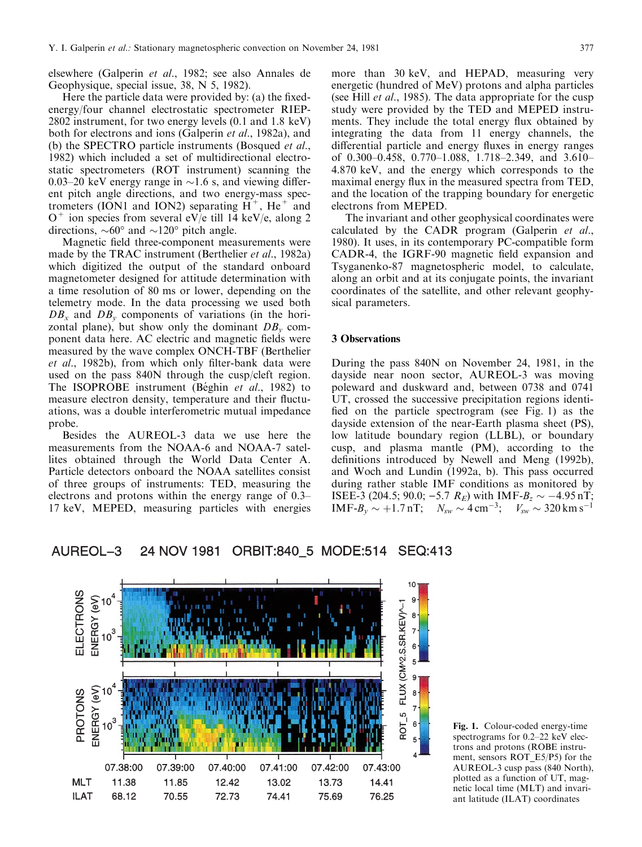elsewhere (Galperin et al., 1982; see also Annales de Geophysique, special issue, 38, N 5, 1982).

Here the particle data were provided by: (a) the fixedenergy/four channel electrostatic spectrometer RIEP-2802 instrument, for two energy levels (0.1 and 1.8 keV) both for electrons and ions (Galperin et al., 1982a), and (b) the SPECTRO particle instruments (Bosqued et al., 1982) which included a set of multidirectional electrostatic spectrometers (ROT instrument) scanning the 0.03–20 keV energy range in  $\sim$ 1.6 s, and viewing different pitch angle directions, and two energy-mass spectrometers (ION1 and ION2) separating  $H^+$ , He<sup>+</sup> and  $O^+$  ion species from several eV/e till 14 keV/e, along 2 directions,  $\sim 60^{\circ}$  and  $\sim 120^{\circ}$  pitch angle.

Magnetic field three-component measurements were made by the TRAC instrument (Berthelier et al., 1982a) which digitized the output of the standard onboard magnetometer designed for attitude determination with a time resolution of 80 ms or lower, depending on the telemetry mode. In the data processing we used both  $DB_x$  and  $DB_y$  components of variations (in the horizontal plane), but show only the dominant  $DB<sub>v</sub>$  component data here. AC electric and magnetic fields were measured by the wave complex ONCH-TBF (Berthelier et al., 1982b), from which only filter-bank data were used on the pass 840N through the cusp/cleft region. The ISOPROBE instrument (Béghin et al., 1982) to measure electron density, temperature and their fluctuations, was a double interferometric mutual impedance probe.

Besides the AUREOL-3 data we use here the measurements from the NOAA-6 and NOAA-7 satellites obtained through the World Data Center A. Particle detectors onboard the NOAA satellites consist of three groups of instruments: TED, measuring the electrons and protons within the energy range of  $0.3-$ 17 keV, MEPED, measuring particles with energies

more than 30 keV, and HEPAD, measuring very energetic (hundred of MeV) protons and alpha particles (see Hill *et al.*, 1985). The data appropriate for the cusp study were provided by the TED and MEPED instruments. They include the total energy flux obtained by integrating the data from 11 energy channels, the differential particle and energy fluxes in energy ranges of 0.300 $-0.458$ , 0.770 $-1.088$ , 1.718 $-2.349$ , and 3.610 $-$ 4.870 keV, and the energy which corresponds to the maximal energy flux in the measured spectra from TED, and the location of the trapping boundary for energetic electrons from MEPED.

The invariant and other geophysical coordinates were calculated by the CADR program (Galperin et al., 1980). It uses, in its contemporary PC-compatible form CADR-4, the IGRF-90 magnetic field expansion and Tsyganenko-87 magnetospheric model, to calculate, along an orbit and at its conjugate points, the invariant coordinates of the satellite, and other relevant geophysical parameters.

### 3 Observations

During the pass 840N on November 24, 1981, in the dayside near noon sector, AUREOL-3 was moving poleward and duskward and, between 0738 and 0741 UT, crossed the successive precipitation regions identi fied on the particle spectrogram (see Fig. 1) as the dayside extension of the near-Earth plasma sheet (PS), low latitude boundary region (LLBL), or boundary cusp, and plasma mantle (PM), according to the definitions introduced by Newell and Meng (1992b), and Woch and Lundin (1992a, b). This pass occurred during rather stable IMF conditions as monitored by ISEE-3 (204.5; 90.0; -5.7  $R_E$ ) with IMF-B<sub>z</sub>  $\sim$  -4.95 nT; IMF- $B_y \sim +1.7$  nT;  $N_{sw} \sim 4$  cm<sup>-3</sup>;  $V_{sw} \sim 320$  km s<sup>-1</sup>



#### 24 NOV 1981 **AUREOL-3** ORBIT:840\_5 MODE:514 SEQ:413

Fig. 1. Colour-coded energy-time spectrograms for  $0.2-22$  keV electrons and protons (ROBE instrument, sensors ROT\_E5/P5) for the AUREOL-3 cusp pass (840 North), plotted as a function of UT, magnetic local time (MLT) and invariant latitude (ILAT) coordinates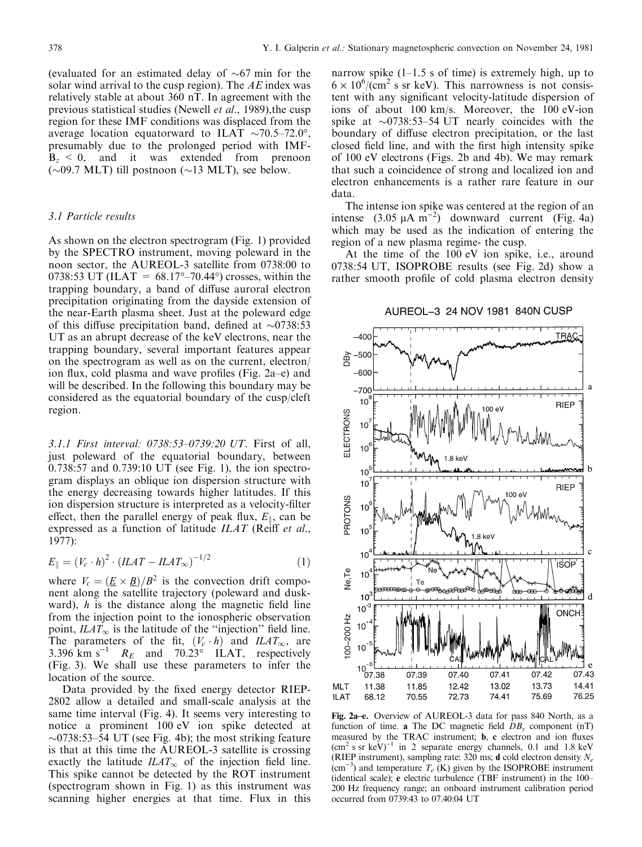(evaluated for an estimated delay of  $\sim 67$  min for the solar wind arrival to the cusp region). The  $AE$  index was relatively stable at about 360 nT. In agreement with the previous statistical studies (Newell et al., 1989),the cusp region for these IMF conditions was displaced from the average location equatorward to ILAT  $\sim$ 70.5–72.0°, presumably due to the prolonged period with IMF- $B<sub>z</sub> < 0$ , and it was extended from prenoon ( $\sim$ 09.7 MLT) till postnoon ( $\sim$ 13 MLT), see below.

# 3.1 Particle results

As shown on the electron spectrogram (Fig. 1) provided by the SPECTRO instrument, moving poleward in the noon sector, the AUREOL-3 satellite from 0738:00 to 0738:53 UT (ILAT =  $68.17^{\circ} - 70.44^{\circ}$ ) crosses, within the trapping boundary, a band of diffuse auroral electron precipitation originating from the dayside extension of the near-Earth plasma sheet. Just at the poleward edge of this diffuse precipitation band, defined at  $\sim 0738:53$ UT as an abrupt decrease of the keV electrons, near the trapping boundary, several important features appear on the spectrogram as well as on the current, electron/ ion flux, cold plasma and wave profiles (Fig. 2a–e) and will be described. In the following this boundary may be considered as the equatorial boundary of the cusp/cleft region.

3.1.1 First interval:  $0738:53-0739:20$  UT. First of all, just poleward of the equatorial boundary, between 0.738:57 and 0.739:10 UT (see Fig. 1), the ion spectrogram displays an oblique ion dispersion structure with the energy decreasing towards higher latitudes. If this ion dispersion structure is interpreted as a velocity-filter effect, then the parallel energy of peak flux,  $E_{\parallel}$ , can be expressed as a function of latitude  $ILAT$  (Reiff et al., 1977):

$$
E_{\parallel} = (V_c \cdot h)^2 \cdot (ILAT - ILAT_{\infty})^{-1/2} \tag{1}
$$

where  $V_c = (\underline{E} \times \underline{B})/B^2$  is the convection drift component along the satellite trajectory (poleward and duskward),  $h$  is the distance along the magnetic field line from the injection point to the ionospheric observation point,  $ILAT_{\infty}$  is the latitude of the "injection" field line. The parameters of the fit,  $(V_c \cdot h)$  and  $ILAT_{\infty}$ , are 3.396 km s<sup>-1</sup>  $R_E$  and 70.23° ILAT, respectively (Fig. 3). We shall use these parameters to infer the location of the source.

Data provided by the fixed energy detector RIEP-2802 allow a detailed and small-scale analysis at the same time interval (Fig. 4). It seems very interesting to notice a prominent 100 eV ion spike detected at  $\sim$ 0738:53–54 UT (see Fig. 4b); the most striking feature is that at this time the AUREOL-3 satellite is crossing exactly the latitude  $ILAT_{\infty}$  of the injection field line. This spike cannot be detected by the ROT instrument (spectrogram shown in Fig. 1) as this instrument was scanning higher energies at that time. Flux in this

narrow spike  $(1-1.5 s)$  of time) is extremely high, up to  $6 \times 10^6 / (cm^2 \text{ s} \text{ sr keV})$ . This narrowness is not consistent with any significant velocity-latitude dispersion of ions of about 100 km/s. Moreover, the 100 eV-ion spike at  $\sim$ 0738:53-54 UT nearly coincides with the boundary of diffuse electron precipitation, or the last closed field line, and with the first high intensity spike of 100 eV electrons (Figs. 2b and 4b). We may remark that such a coincidence of strong and localized ion and electron enhancements is a rather rare feature in our data.

The intense ion spike was centered at the region of an intense  $(3.05 \mu A \text{ m}^{-2})$  downward current (Fig. 4a) which may be used as the indication of entering the region of a new plasma regime- the cusp.

At the time of the 100 eV ion spike, i.e., around 0738:54 UT, ISOPROBE results (see Fig. 2d) show a rather smooth profile of cold plasma electron density

# AUREOL-3 24 NOV 1981 840N CUSP



Fig. 2a-e. Overview of AUREOL-3 data for pass 840 North, as a function of time. a The DC magnetic field  $DB_v$  component (nT) measured by the TRAC instrument; **b**, **c** electron and ion fluxes  $(cm<sup>2</sup> s sr keV)<sup>-1</sup>$  in 2 separate energy channels, 0.1 and 1.8 keV (RIEP instrument), sampling rate: 320 ms; **d** cold electron density  $N_e$  $\text{(cm}^{-3})$  and temperature  $T_e$  (K) given by the ISOPROBE instrument (identical scale); e electric turbulence (TBF instrument) in the  $100-$ 200 Hz frequency range; an onboard instrument calibration period occurred from 0739:43 to 07.40:04 UT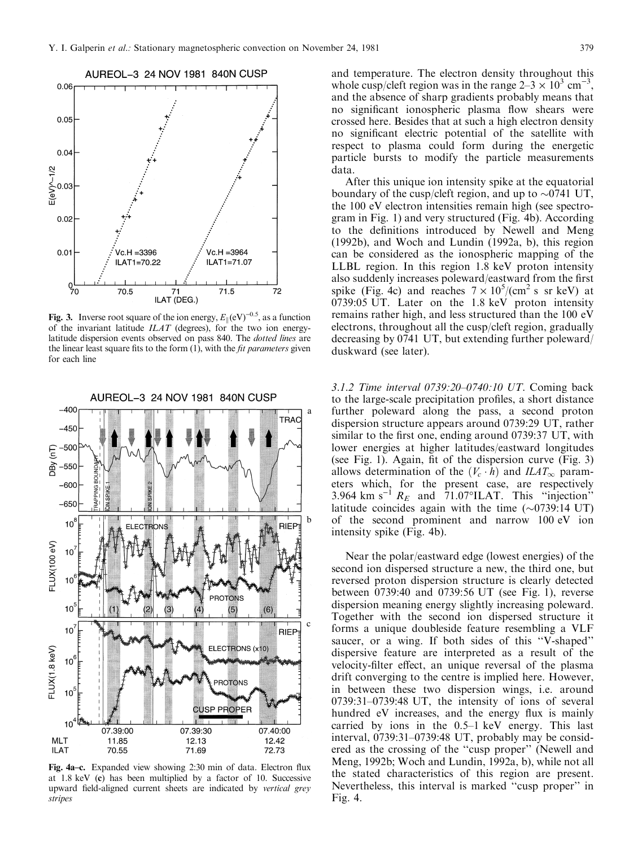

Fig. 3. Inverse root square of the ion energy,  $E_{\parallel}(\text{eV})^{-0.5}$ , as a function of the invariant latitude  $ILAT$  (degrees), for the two ion energylatitude dispersion events observed on pass 840. The dotted lines are the linear least square fits to the form  $(1)$ , with the *fit parameters* given for each line



Fig. 4a–c. Expanded view showing 2:30 min of data. Electron flux at 1.8 keV (c) has been multiplied by a factor of 10. Successive upward field-aligned current sheets are indicated by vertical grey stripes

and temperature. The electron density throughout this whole cusp/cleft region was in the range  $2-3 \times 10^3$  cm<sup>-3</sup>, and the absence of sharp gradients probably means that no significant ionospheric plasma flow shears were crossed here. Besides that at such a high electron density no significant electric potential of the satellite with respect to plasma could form during the energetic particle bursts to modify the particle measurements data.

After this unique ion intensity spike at the equatorial boundary of the cusp/cleft region, and up to  $\sim 0741$  UT, the 100 eV electron intensities remain high (see spectrogram in Fig. 1) and very structured (Fig. 4b). According to the definitions introduced by Newell and Meng (1992b), and Woch and Lundin (1992a, b), this region can be considered as the ionospheric mapping of the LLBL region. In this region 1.8 keV proton intensity also suddenly increases poleward/eastward from the first spike (Fig. 4c) and reaches  $7 \times 10^5 / (\text{cm}^2 \text{ s sr keV})$  at 0739:05 UT. Later on the 1.8 keV proton intensity remains rather high, and less structured than the 100 eV electrons, throughout all the cusp/cleft region, gradually decreasing by 0741 UT, but extending further poleward/ duskward (see later).

3.1.2 Time interval 0739:20-0740:10 UT. Coming back to the large-scale precipitation profiles, a short distance further poleward along the pass, a second proton dispersion structure appears around 0739:29 UT, rather similar to the first one, ending around 0739:37 UT, with lower energies at higher latitudes/eastward longitudes (see Fig. 1). Again, fit of the dispersion curve  $(Fig. 3)$ allows determination of the  $(V_c \cdot h)$  and  $ILAT_{\infty}$  parameters which, for the present case, are respectively 3.964 km s<sup>-1</sup>  $R_E$  and 71.07°ILAT. This "injection" latitude coincides again with the time  $(\sim 0739:14 \text{ UT})$ of the second prominent and narrow 100 eV ion intensity spike (Fig. 4b).

Near the polar/eastward edge (lowest energies) of the second ion dispersed structure a new, the third one, but reversed proton dispersion structure is clearly detected between 0739:40 and 0739:56 UT (see Fig. 1), reverse dispersion meaning energy slightly increasing poleward. Together with the second ion dispersed structure it forms a unique doubleside feature resembling a VLF saucer, or a wing. If both sides of this "V-shaped" dispersive feature are interpreted as a result of the velocity-filter effect, an unique reversal of the plasma drift converging to the centre is implied here. However, in between these two dispersion wings, i.e. around  $0739:31-0739:48$  UT, the intensity of ions of several hundred eV increases, and the energy flux is mainly carried by ions in the  $0.5-1$  keV energy. This last interval,  $0739:31-0739:48$  UT, probably may be considered as the crossing of the "cusp proper" (Newell and Meng, 1992b; Woch and Lundin, 1992a, b), while not all the stated characteristics of this region are present. Nevertheless, this interval is marked "cusp proper" in Fig. 4.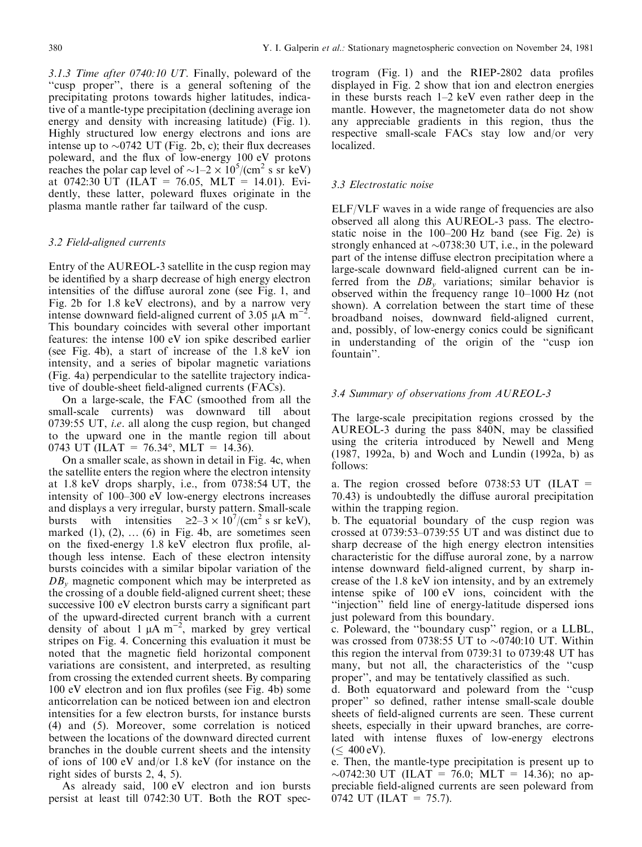3.1.3 Time after 0740:10 UT. Finally, poleward of the ``cusp proper'', there is a general softening of the precipitating protons towards higher latitudes, indicative of a mantle-type precipitation (declining average ion energy and density with increasing latitude) (Fig. 1). Highly structured low energy electrons and ions are intense up to  $\sim 0742$  UT (Fig. 2b, c); their flux decreases poleward, and the flux of low-energy 100 eV protons reaches the polar cap level of  $\sim 1-2 \times 10^5 / (cm^2 s sr keV)$ at 0742:30 UT (ILAT = 76.05, MLT = 14.01). Evidently, these latter, poleward fluxes originate in the plasma mantle rather far tailward of the cusp.

# 3.2 Field-aligned currents

Entry of the AUREOL-3 satellite in the cusp region may be identified by a sharp decrease of high energy electron intensities of the diffuse auroral zone (see Fig. 1, and Fig. 2b for 1.8 keV electrons), and by a narrow very intense downward field-aligned current of 3.05  $\mu$ A m<sup>-1</sup> . This boundary coincides with several other important features: the intense 100 eV ion spike described earlier (see Fig. 4b), a start of increase of the 1.8 keV ion intensity, and a series of bipolar magnetic variations (Fig. 4a) perpendicular to the satellite trajectory indicative of double-sheet field-aligned currents (FACs).

On a large-scale, the FAC (smoothed from all the small-scale currents) was downward till about 0739:55 UT, i.e. all along the cusp region, but changed to the upward one in the mantle region till about 0743 UT (ILAT = 76.34°, MLT = 14.36).

On a smaller scale, as shown in detail in Fig. 4c, when the satellite enters the region where the electron intensity at 1.8 keV drops sharply, i.e., from 0738:54 UT, the intensity of  $100-300$  eV low-energy electrons increases and displays a very irregular, bursty pattern. Small-scale bursts with intensities  $\geq 2-3 \times 10^7 / (cm^2 \text{ s sr keV})$ , marked  $(1)$ ,  $(2)$ ,  $\dots$   $(6)$  in Fig. 4b, are sometimes seen on the fixed-energy 1.8 keV electron flux profile, although less intense. Each of these electron intensity bursts coincides with a similar bipolar variation of the  $DB<sub>v</sub>$  magnetic component which may be interpreted as the crossing of a double field-aligned current sheet; these successive 100 eV electron bursts carry a significant part of the upward-directed current branch with a current density of about 1  $\mu$ A m<sup>-2</sup>, marked by grey vertical stripes on Fig. 4. Concerning this evaluation it must be noted that the magnetic field horizontal component variations are consistent, and interpreted, as resulting from crossing the extended current sheets. By comparing  $100$  eV electron and ion flux profiles (see Fig. 4b) some anticorrelation can be noticed between ion and electron intensities for a few electron bursts, for instance bursts (4) and (5). Moreover, some correlation is noticed between the locations of the downward directed current branches in the double current sheets and the intensity of ions of 100 eV and/or 1.8 keV (for instance on the right sides of bursts 2, 4, 5).

As already said, 100 eV electron and ion bursts persist at least till 0742:30 UT. Both the ROT spectrogram  $(Fig. 1)$  and the RIEP-2802 data profiles displayed in Fig. 2 show that ion and electron energies in these bursts reach  $1-2$  keV even rather deep in the mantle. However, the magnetometer data do not show any appreciable gradients in this region, thus the respective small-scale FACs stay low and/or very localized.

# 3.3 Electrostatic noise

ELF/VLF waves in a wide range of frequencies are also observed all along this AUREOL-3 pass. The electrostatic noise in the  $100-200$  Hz band (see Fig. 2e) is strongly enhanced at  $\sim 0738:30 \text{ UT}$ , i.e., in the poleward part of the intense diffuse electron precipitation where a large-scale downward field-aligned current can be inferred from the  $DB<sub>v</sub>$  variations; similar behavior is observed within the frequency range  $10-1000$  Hz (not shown). A correlation between the start time of these broadband noises, downward field-aligned current, and, possibly, of low-energy conics could be significant in understanding of the origin of the "cusp ion fountain''.

# 3.4 Summary of observations from AUREOL-3

The large-scale precipitation regions crossed by the AUREOL-3 during the pass  $840N$ , may be classified using the criteria introduced by Newell and Meng (1987, 1992a, b) and Woch and Lundin (1992a, b) as follows:

a. The region crossed before  $0738:53$  UT (ILAT = 70.43) is undoubtedly the diffuse auroral precipitation within the trapping region.

b. The equatorial boundary of the cusp region was crossed at  $0739:53-0739:55$  UT and was distinct due to sharp decrease of the high energy electron intensities characteristic for the diffuse auroral zone, by a narrow intense downward field-aligned current, by sharp increase of the 1.8 keV ion intensity, and by an extremely intense spike of 100 eV ions, coincident with the "injection" field line of energy-latitude dispersed ions just poleward from this boundary.

c. Poleward, the ``boundary cusp'' region, or a LLBL, was crossed from 0738:55 UT to  $\sim$  0740:10 UT. Within this region the interval from 0739:31 to 0739:48 UT has many, but not all, the characteristics of the "cusp" proper", and may be tentatively classified as such.

d. Both equatorward and poleward from the ``cusp proper" so defined, rather intense small-scale double sheets of field-aligned currents are seen. These current sheets, especially in their upward branches, are correlated with intense fluxes of low-energy electrons  $(\leq 400 \text{ eV}).$ 

e. Then, the mantle-type precipitation is present up to  $\sim$ 0742:30 UT (ILAT = 76.0; MLT = 14.36); no appreciable field-aligned currents are seen poleward from 0742 UT (ILAT = 75.7).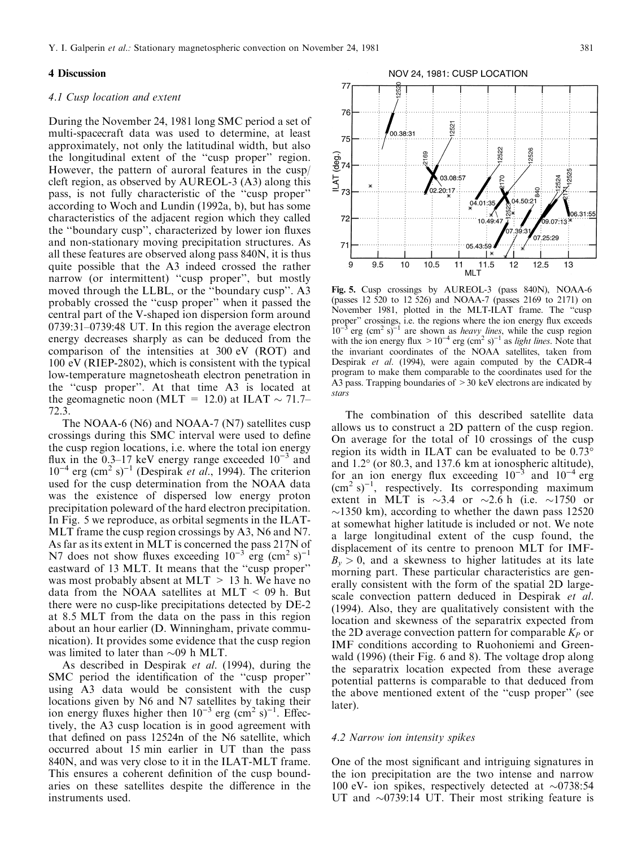#### 4 Discussion

#### 4.1 Cusp location and extent

During the November 24, 1981 long SMC period a set of multi-spacecraft data was used to determine, at least approximately, not only the latitudinal width, but also the longitudinal extent of the "cusp proper" region. However, the pattern of auroral features in the cusp/ cleft region, as observed by AUREOL-3 (A3) along this pass, is not fully characteristic of the "cusp proper" according to Woch and Lundin (1992a, b), but has some characteristics of the adjacent region which they called the "boundary cusp", characterized by lower ion fluxes and non-stationary moving precipitation structures. As all these features are observed along pass 840N, it is thus quite possible that the A3 indeed crossed the rather narrow (or intermittent) "cusp proper", but mostly moved through the LLBL, or the "boundary cusp". A3 probably crossed the ``cusp proper'' when it passed the central part of the V-shaped ion dispersion form around  $0739:31-0739:48$  UT. In this region the average electron energy decreases sharply as can be deduced from the comparison of the intensities at 300 eV (ROT) and 100 eV (RIEP-2802), which is consistent with the typical low-temperature magnetosheath electron penetration in the "cusp proper". At that time A3 is located at the geomagnetic noon (MLT = 12.0) at ILAT  $\sim$  71.7– 72.3.

The NOAA-6 (N6) and NOAA-7 (N7) satellites cusp crossings during this SMC interval were used to define the cusp region locations, i.e. where the total ion energy flux in the 0.3–17 keV energy range exceeded  $10^{-3}$  and  $10^{-4}$  erg (cm<sup>2</sup> s)<sup>-1</sup> (Despirak *et al.*, 1994). The criterion used for the cusp determination from the NOAA data was the existence of dispersed low energy proton precipitation poleward of the hard electron precipitation. In Fig. 5 we reproduce, as orbital segments in the ILAT-MLT frame the cusp region crossings by A3, N6 and N7. As far as its extent in MLT is concerned the pass 217N of N7 does not show fluxes exceeding  $10^{-3}$  erg (cm<sup>2</sup> s)<sup>-1</sup> eastward of 13 MLT. It means that the "cusp proper" was most probably absent at MLT  $> 13$  h. We have no data from the NOAA satellites at MLT  $\leq$  09 h. But there were no cusp-like precipitations detected by DE-2 at 8.5 MLT from the data on the pass in this region about an hour earlier (D. Winningham, private communication). It provides some evidence that the cusp region was limited to later than  $\sim 09$  h MLT.

As described in Despirak et al. (1994), during the SMC period the identification of the "cusp proper" using A3 data would be consistent with the cusp locations given by N6 and N7 satellites by taking their ion energy fluxes higher then  $10^{-3}$  erg (cm<sup>2</sup> s)<sup>-1</sup>. Effectively, the A3 cusp location is in good agreement with that defined on pass 12524n of the N6 satellite, which occurred about 15 min earlier in UT than the pass 840N, and was very close to it in the ILAT-MLT frame. This ensures a coherent definition of the cusp boundaries on these satellites despite the difference in the instruments used.



Fig. 5. Cusp crossings by AUREOL-3 (pass 840N), NOAA-6 (passes 12 520 to 12 526) and NOAA-7 (passes 2169 to 2171) on November 1981, plotted in the MLT-ILAT frame. The "cusp proper" crossings, i.e. the regions where the ion energy flux exceeds  $10^{-3}$  erg (cm<sup>2</sup> s)<sup>-1</sup> are shown as *heavy lines*, while the cusp region with the ion energy flux  $>10^{-4}$  erg (cm<sup>2</sup> s)<sup>-1</sup> as *light lines*. Note that the invariant coordinates of the NOAA satellites, taken from Despirak et al. (1994), were again computed by the CADR-4 program to make them comparable to the coordinates used for the A3 pass. Trapping boundaries of >30 keV electrons are indicated by stars

The combination of this described satellite data allows us to construct a 2D pattern of the cusp region. On average for the total of 10 crossings of the cusp region its width in ILAT can be evaluated to be 0.73° and 1.2° (or 80.3, and 137.6 km at ionospheric altitude), for an ion energy flux exceeding  $10^{-3}$  and  $10^{-4}$  erg  $\sim$  (cm<sup>2</sup> s)<sup>-1</sup>, respectively. Its corresponding maximum extent in MLT is  $\sim$ 3.4 or  $\sim$ 2.6 h (i.e.  $\sim$ 1750 or  $\sim$ 1350 km), according to whether the dawn pass 12520 at somewhat higher latitude is included or not. We note a large longitudinal extent of the cusp found, the displacement of its centre to prenoon MLT for IMF- $B_v > 0$ , and a skewness to higher latitudes at its late morning part. These particular characteristics are generally consistent with the form of the spatial 2D largescale convection pattern deduced in Despirak et al. (1994). Also, they are qualitatively consistent with the location and skewness of the separatrix expected from the 2D average convection pattern for comparable  $K_P$  or IMF conditions according to Ruohoniemi and Greenwald (1996) (their Fig. 6 and 8). The voltage drop along the separatrix location expected from these average potential patterns is comparable to that deduced from the above mentioned extent of the "cusp proper" (see later).

#### 4.2 Narrow ion intensity spikes

One of the most significant and intriguing signatures in the ion precipitation are the two intense and narrow 100 eV- ion spikes, respectively detected at  $\sim 0738:54$ UT and  $\sim 0739:14$  UT. Their most striking feature is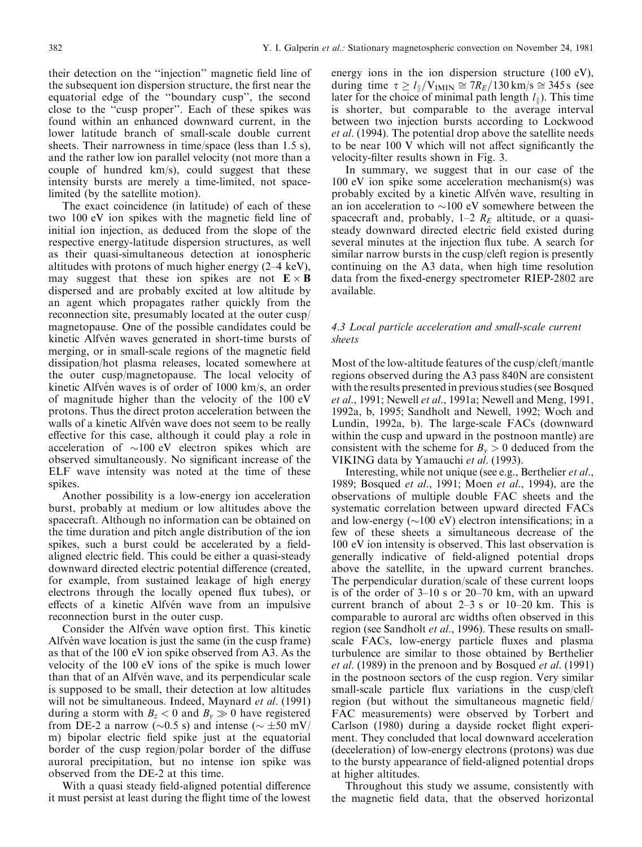their detection on the "injection" magnetic field line of the subsequent ion dispersion structure, the first near the equatorial edge of the "boundary cusp", the second close to the ``cusp proper''. Each of these spikes was found within an enhanced downward current, in the lower latitude branch of small-scale double current sheets. Their narrowness in time/space (less than 1.5 s), and the rather low ion parallel velocity (not more than a couple of hundred km/s), could suggest that these intensity bursts are merely a time-limited, not spacelimited (by the satellite motion).

The exact coincidence (in latitude) of each of these two 100 eV ion spikes with the magnetic field line of initial ion injection, as deduced from the slope of the respective energy-latitude dispersion structures, as well as their quasi-simultaneous detection at ionospheric altitudes with protons of much higher energy  $(2-4 \text{ keV})$ , may suggest that these ion spikes are not  $\mathbf{E} \times \mathbf{B}$ dispersed and are probably excited at low altitude by an agent which propagates rather quickly from the reconnection site, presumably located at the outer cusp/ magnetopause. One of the possible candidates could be kinetic Alfvén waves generated in short-time bursts of merging, or in small-scale regions of the magnetic field dissipation/hot plasma releases, located somewhere at the outer cusp/magnetopause. The local velocity of kinetic Alfvén waves is of order of  $1000 \text{ km/s}$ , an order of magnitude higher than the velocity of the 100 eV protons. Thus the direct proton acceleration between the walls of a kinetic Alfvén wave does not seem to be really effective for this case, although it could play a role in acceleration of  $\sim$ 100 eV electron spikes which are observed simultaneously. No significant increase of the ELF wave intensity was noted at the time of these spikes.

Another possibility is a low-energy ion acceleration burst, probably at medium or low altitudes above the spacecraft. Although no information can be obtained on the time duration and pitch angle distribution of the ion spikes, such a burst could be accelerated by a fieldaligned electric field. This could be either a quasi-steady downward directed electric potential difference (created, for example, from sustained leakage of high energy electrons through the locally opened flux tubes), or effects of a kinetic Alfvén wave from an impulsive reconnection burst in the outer cusp.

Consider the Alfvén wave option first. This kinetic Alfvén wave location is just the same (in the cusp frame) as that of the 100 eV ion spike observed from A3. As the velocity of the 100 eV ions of the spike is much lower than that of an Alfvén wave, and its perpendicular scale is supposed to be small, their detection at low altitudes will not be simultaneous. Indeed, Maynard *et al.* (1991) during a storm with  $B_z < 0$  and  $B_v \gg 0$  have registered from DE-2 a narrow ( $\sim$ 0.5 s) and intense ( $\sim \pm 50$  mV/ m) bipolar electric field spike just at the equatorial border of the cusp region/polar border of the diffuse auroral precipitation, but no intense ion spike was observed from the DE-2 at this time.

With a quasi steady field-aligned potential difference it must persist at least during the flight time of the lowest

energy ions in the ion dispersion structure (100 eV), during time  $\tau \geq l_{\parallel}/V_{IMIN} \cong 7R_E/130 \text{ km/s} \cong 345 \text{ s}$  (see later for the choice of minimal path length  $l_{\parallel}$ ). This time is shorter, but comparable to the average interval between two injection bursts according to Lockwood et al. (1994). The potential drop above the satellite needs to be near  $100 \text{ V}$  which will not affect significantly the velocity-filter results shown in Fig. 3.

In summary, we suggest that in our case of the 100 eV ion spike some acceleration mechanism(s) was probably excited by a kinetic Alfvén wave, resulting in an ion acceleration to  $\sim$ 100 eV somewhere between the spacecraft and, probably,  $1-2$   $R_E$  altitude, or a quasisteady downward directed electric field existed during several minutes at the injection flux tube. A search for similar narrow bursts in the cusp/cleft region is presently continuing on the A3 data, when high time resolution data from the fixed-energy spectrometer RIEP-2802 are available.

# 4.3 Local particle acceleration and small-scale current sheets

Most of the low-altitude features of the cusp/cleft/mantle regions observed during the A3 pass 840N are consistent with the results presented in previous studies (see Bosqued et al., 1991; Newell et al., 1991a; Newell and Meng, 1991, 1992a, b, 1995; Sandholt and Newell, 1992; Woch and Lundin, 1992a, b). The large-scale FACs (downward within the cusp and upward in the postnoon mantle) are consistent with the scheme for  $B_v > 0$  deduced from the VIKING data by Yamauchi et al. (1993).

Interesting, while not unique (see e.g., Berthelier et al., 1989; Bosqued et al., 1991; Moen et al., 1994), are the observations of multiple double FAC sheets and the systematic correlation between upward directed FACs and low-energy  $(\sim 100 \text{ eV})$  electron intensifications; in a few of these sheets a simultaneous decrease of the 100 eV ion intensity is observed. This last observation is generally indicative of field-aligned potential drops above the satellite, in the upward current branches. The perpendicular duration/scale of these current loops is of the order of  $3-10$  s or  $20-70$  km, with an upward current branch of about  $2-3$  s or  $10-20$  km. This is comparable to auroral arc widths often observed in this region (see Sandholt *et al.*, 1996). These results on smallscale FACs, low-energy particle fluxes and plasma turbulence are similar to those obtained by Berthelier et al. (1989) in the prenoon and by Bosqued et al. (1991) in the postnoon sectors of the cusp region. Very similar small-scale particle flux variations in the cusp/cleft region (but without the simultaneous magnetic field/ FAC measurements) were observed by Torbert and Carlson (1980) during a dayside rocket flight experiment. They concluded that local downward acceleration (deceleration) of low-energy electrons (protons) was due to the bursty appearance of field-aligned potential drops at higher altitudes.

Throughout this study we assume, consistently with the magnetic field data, that the observed horizontal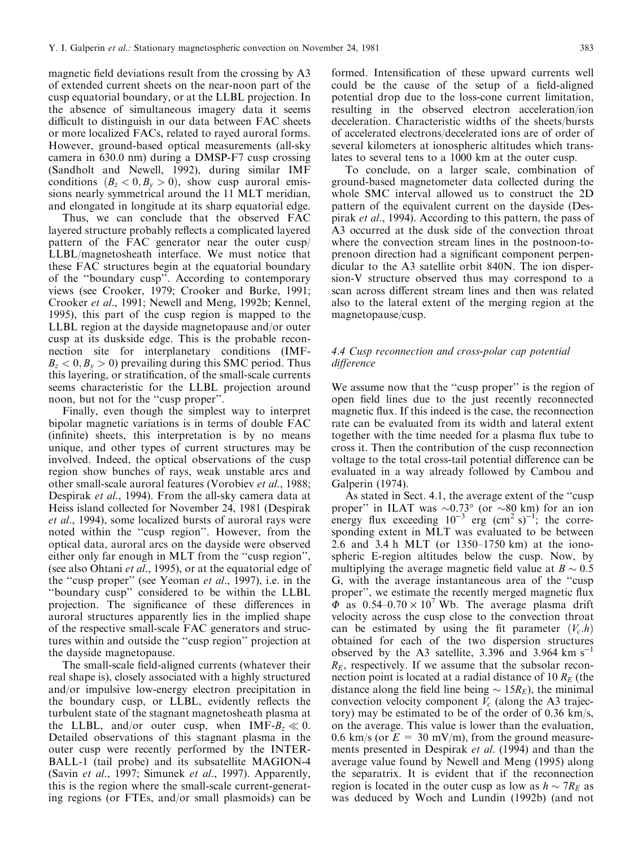magnetic field deviations result from the crossing by A3 of extended current sheets on the near-noon part of the cusp equatorial boundary, or at the LLBL projection. In the absence of simultaneous imagery data it seems difficult to distinguish in our data between FAC sheets or more localized FACs, related to rayed auroral forms. However, ground-based optical measurements (all-sky camera in 630.0 nm) during a DMSP-F7 cusp crossing (Sandholt and Newell, 1992), during similar IMF conditions  $(B_z < 0, B_y > 0)$ , show cusp auroral emissions nearly symmetrical around the 11 MLT meridian, and elongated in longitude at its sharp equatorial edge.

Thus, we can conclude that the observed FAC layered structure probably reflects a complicated layered pattern of the FAC generator near the outer cusp/ LLBL/magnetosheath interface. We must notice that these FAC structures begin at the equatorial boundary of the ``boundary cusp''. According to contemporary views (see Crooker, 1979; Crooker and Burke, 1991; Crooker et al., 1991; Newell and Meng, 1992b; Kennel, 1995), this part of the cusp region is mapped to the LLBL region at the dayside magnetopause and/or outer cusp at its duskside edge. This is the probable reconnection site for interplanetary conditions (IMF- $B<sub>z</sub> < 0, B<sub>v</sub> > 0$  prevailing during this SMC period. Thus this layering, or stratification, of the small-scale currents seems characteristic for the LLBL projection around noon, but not for the "cusp proper".

Finally, even though the simplest way to interpret bipolar magnetic variations is in terms of double FAC (infinite) sheets, this interpretation is by no means unique, and other types of current structures may be involved. Indeed, the optical observations of the cusp region show bunches of rays, weak unstable arcs and other small-scale auroral features (Vorobiev et al., 1988; Despirak *et al.*, 1994). From the all-sky camera data at Heiss island collected for November 24, 1981 (Despirak et al., 1994), some localized bursts of auroral rays were noted within the "cusp region". However, from the optical data, auroral arcs on the dayside were observed either only far enough in MLT from the "cusp region", (see also Ohtani et al., 1995), or at the equatorial edge of the "cusp proper" (see Yeoman *et al.*, 1997), i.e. in the ``boundary cusp'' considered to be within the LLBL projection. The significance of these differences in auroral structures apparently lies in the implied shape of the respective small-scale FAC generators and structures within and outside the "cusp region" projection at the dayside magnetopause.

The small-scale field-aligned currents (whatever their real shape is), closely associated with a highly structured and/or impulsive low-energy electron precipitation in the boundary cusp, or LLBL, evidently reflects the turbulent state of the stagnant magnetosheath plasma at the LLBL, and/or outer cusp, when IMF- $B_z \ll 0$ . Detailed observations of this stagnant plasma in the outer cusp were recently performed by the INTER-BALL-1 (tail probe) and its subsatellite MAGION-4 (Savin et al., 1997; Simunek et al., 1997). Apparently, this is the region where the small-scale current-generating regions (or FTEs, and/or small plasmoids) can be formed. Intensification of these upward currents well could be the cause of the setup of a field-aligned potential drop due to the loss-cone current limitation, resulting in the observed electron acceleration/ion deceleration. Characteristic widths of the sheets/bursts of accelerated electrons/decelerated ions are of order of several kilometers at ionospheric altitudes which translates to several tens to a 1000 km at the outer cusp.

To conclude, on a larger scale, combination of ground-based magnetometer data collected during the whole SMC interval allowed us to construct the 2D pattern of the equivalent current on the dayside (Despirak et al., 1994). According to this pattern, the pass of A3 occurred at the dusk side of the convection throat where the convection stream lines in the postnoon-toprenoon direction had a significant component perpendicular to the A3 satellite orbit 840N. The ion dispersion-V structure observed thus may correspond to a scan across different stream lines and then was related also to the lateral extent of the merging region at the magnetopause/cusp.

# 4.4 Cusp reconnection and cross-polar cap potential difference

We assume now that the "cusp proper" is the region of open field lines due to the just recently reconnected magnetic flux. If this indeed is the case, the reconnection rate can be evaluated from its width and lateral extent together with the time needed for a plasma flux tube to cross it. Then the contribution of the cusp reconnection voltage to the total cross-tail potential difference can be evaluated in a way already followed by Cambou and Galperin (1974).

As stated in Sect. 4.1, the average extent of the "cusp" proper" in ILAT was  $\sim 0.73$ ° (or  $\sim 80$  km) for an ion energy flux exceeding  $10^{-3}$  erg (cm<sup>2</sup> s)<sup>-1</sup>; the corresponding extent in MLT was evaluated to be between 2.6 and 3.4 h MLT (or  $1350-1750$  km) at the ionospheric E-region altitudes below the cusp. Now, by multiplying the average magnetic field value at  $B \sim 0.5$ G, with the average instantaneous area of the ``cusp proper", we estimate the recently merged magnetic flux  $\Phi$  as 0.54–0.70  $\times$  10<sup>7</sup> Wb. The average plasma drift velocity across the cusp close to the convection throat can be estimated by using the fit parameter  $(V_c.h)$ obtained for each of the two dispersion structures observed by the A3 satellite, 3.396 and 3.964 km  $s^{-1}$  $R<sub>E</sub>$ , respectively. If we assume that the subsolar reconnection point is located at a radial distance of 10  $R_E$  (the distance along the field line being  $\sim 15R_E$ ), the minimal convection velocity component  $V_c$  (along the A3 trajectory) may be estimated to be of the order of 0.36 km/s, on the average. This value is lower than the evaluation, 0.6 km/s (or  $E = 30$  mV/m), from the ground measurements presented in Despirak et al. (1994) and than the average value found by Newell and Meng (1995) along the separatrix. It is evident that if the reconnection region is located in the outer cusp as low as  $h \sim 7R_E$  as was deduced by Woch and Lundin (1992b) (and not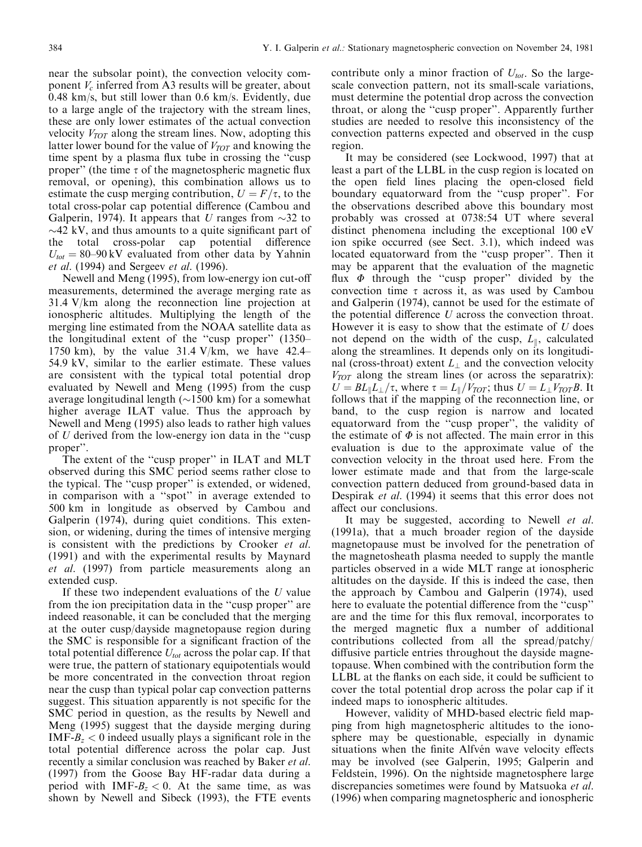near the subsolar point), the convection velocity component  $V_c$  inferred from A3 results will be greater, about 0.48 km/s, but still lower than 0.6 km/s. Evidently, due to a large angle of the trajectory with the stream lines, these are only lower estimates of the actual convection velocity  $V_{TOT}$  along the stream lines. Now, adopting this latter lower bound for the value of  $V_{TOT}$  and knowing the time spent by a plasma flux tube in crossing the "cusp" proper" (the time  $\tau$  of the magnetospheric magnetic flux removal, or opening), this combination allows us to estimate the cusp merging contribution,  $U = F/\tau$ , to the total cross-polar cap potential difference (Cambou and Galperin, 1974). It appears that U ranges from  $\sim$ 32 to  $\sim$ 42 kV, and thus amounts to a quite significant part of the total cross-polar cap potential difference  $U_{tot} = 80-90 \text{ kV}$  evaluated from other data by Yahnin et al. (1994) and Sergeev et al. (1996).

Newell and Meng (1995), from low-energy ion cut-o measurements, determined the average merging rate as 31.4 V/km along the reconnection line projection at ionospheric altitudes. Multiplying the length of the merging line estimated from the NOAA satellite data as the longitudinal extent of the "cusp proper" (1350-1750 km), by the value  $31.4$  V/km, we have  $42.4\text{-}$ 54.9 kV, similar to the earlier estimate. These values are consistent with the typical total potential drop evaluated by Newell and Meng (1995) from the cusp average longitudinal length ( $\sim$ 1500 km) for a somewhat higher average ILAT value. Thus the approach by Newell and Meng (1995) also leads to rather high values of  $U$  derived from the low-energy ion data in the "cusp" proper''.

The extent of the "cusp proper" in ILAT and MLT observed during this SMC period seems rather close to the typical. The "cusp proper" is extended, or widened, in comparison with a "spot" in average extended to 500 km in longitude as observed by Cambou and Galperin (1974), during quiet conditions. This extension, or widening, during the times of intensive merging is consistent with the predictions by Crooker et al. (1991) and with the experimental results by Maynard et al. (1997) from particle measurements along an extended cusp.

If these two independent evaluations of the  $U$  value from the ion precipitation data in the "cusp proper" are indeed reasonable, it can be concluded that the merging at the outer cusp/dayside magnetopause region during the SMC is responsible for a significant fraction of the total potential difference  $U_{tot}$  across the polar cap. If that were true, the pattern of stationary equipotentials would be more concentrated in the convection throat region near the cusp than typical polar cap convection patterns suggest. This situation apparently is not specific for the SMC period in question, as the results by Newell and Meng (1995) suggest that the dayside merging during IMF- $B<sub>z</sub> < 0$  indeed usually plays a significant role in the total potential difference across the polar cap. Just recently a similar conclusion was reached by Baker *et al.* (1997) from the Goose Bay HF-radar data during a period with  $IMF-B<sub>z</sub> < 0$ . At the same time, as was shown by Newell and Sibeck (1993), the FTE events

contribute only a minor fraction of  $U_{tot}$ . So the largescale convection pattern, not its small-scale variations, must determine the potential drop across the convection throat, or along the ``cusp proper''. Apparently further studies are needed to resolve this inconsistency of the convection patterns expected and observed in the cusp region.

It may be considered (see Lockwood, 1997) that at least a part of the LLBL in the cusp region is located on the open field lines placing the open-closed field boundary equatorward from the "cusp proper". For the observations described above this boundary most probably was crossed at 0738:54 UT where several distinct phenomena including the exceptional 100 eV ion spike occurred (see Sect. 3.1), which indeed was located equatorward from the "cusp proper". Then it may be apparent that the evaluation of the magnetic flux  $\Phi$  through the "cusp proper" divided by the convection time  $\tau$  across it, as was used by Cambou and Galperin (1974), cannot be used for the estimate of the potential difference  $U$  across the convection throat. However it is easy to show that the estimate of  $U$  does not depend on the width of the cusp,  $L_{\parallel}$ , calculated along the streamlines. It depends only on its longitudinal (cross-throat) extent  $L_{\perp}$  and the convection velocity  $V_{TOT}$  along the stream lines (or across the separatrix):  $U = BL_{\parallel}L_{\perp}/\tau$ , where  $\tau = L_{\parallel}/V_{TOT}$ ; thus  $U = L_{\perp}V_{TOT}B$ . It follows that if the mapping of the reconnection line, or band, to the cusp region is narrow and located equatorward from the "cusp proper", the validity of the estimate of  $\Phi$  is not affected. The main error in this evaluation is due to the approximate value of the convection velocity in the throat used here. From the lower estimate made and that from the large-scale convection pattern deduced from ground-based data in Despirak *et al.* (1994) it seems that this error does not affect our conclusions.

It may be suggested, according to Newell et al. (1991a), that a much broader region of the dayside magnetopause must be involved for the penetration of the magnetosheath plasma needed to supply the mantle particles observed in a wide MLT range at ionospheric altitudes on the dayside. If this is indeed the case, then the approach by Cambou and Galperin (1974), used here to evaluate the potential difference from the "cusp" are and the time for this flux removal, incorporates to the merged magnetic flux a number of additional contributions collected from all the spread/patchy/ diffusive particle entries throughout the dayside magnetopause. When combined with the contribution form the LLBL at the flanks on each side, it could be sufficient to cover the total potential drop across the polar cap if it indeed maps to ionospheric altitudes.

However, validity of MHD-based electric field mapping from high magnetospheric altitudes to the ionosphere may be questionable, especially in dynamic situations when the finite Alfvén wave velocity effects may be involved (see Galperin, 1995; Galperin and Feldstein, 1996). On the nightside magnetosphere large discrepancies sometimes were found by Matsuoka et al. (1996) when comparing magnetospheric and ionospheric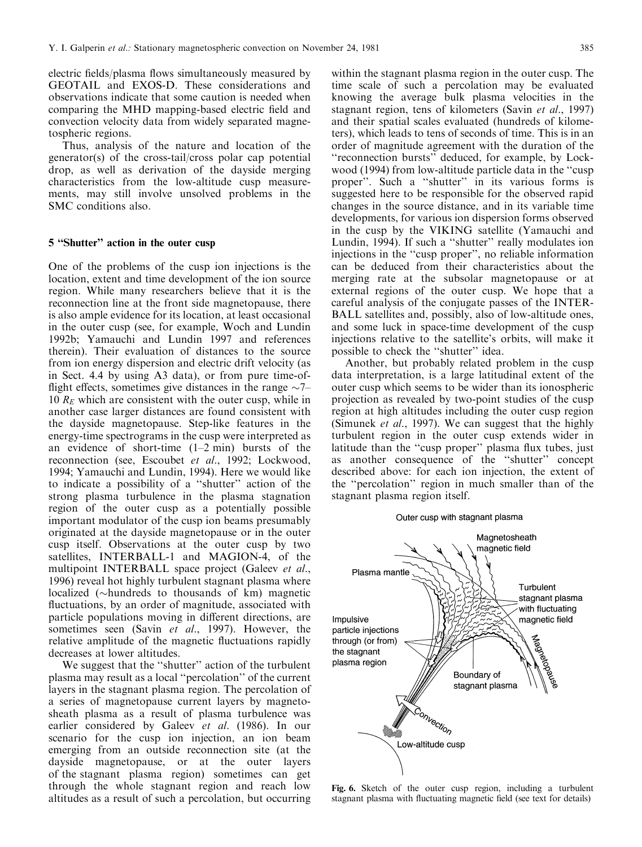electric fields/plasma flows simultaneously measured by GEOTAIL and EXOS-D. These considerations and observations indicate that some caution is needed when comparing the MHD mapping-based electric field and convection velocity data from widely separated magnetospheric regions.

Thus, analysis of the nature and location of the generator(s) of the cross-tail/cross polar cap potential drop, as well as derivation of the dayside merging characteristics from the low-altitude cusp measurements, may still involve unsolved problems in the SMC conditions also.

#### 5 "Shutter" action in the outer cusp

One of the problems of the cusp ion injections is the location, extent and time development of the ion source region. While many researchers believe that it is the reconnection line at the front side magnetopause, there is also ample evidence for its location, at least occasional in the outer cusp (see, for example, Woch and Lundin 1992b; Yamauchi and Lundin 1997 and references therein). Their evaluation of distances to the source from ion energy dispersion and electric drift velocity (as in Sect. 4.4 by using A3 data), or from pure time-of flight effects, sometimes give distances in the range  $\sim$ 7 $-$ 10  $R<sub>E</sub>$  which are consistent with the outer cusp, while in another case larger distances are found consistent with the dayside magnetopause. Step-like features in the energy-time spectrograms in the cusp were interpreted as an evidence of short-time  $(1-2 \text{ min})$  bursts of the reconnection (see, Escoubet et al., 1992; Lockwood, 1994; Yamauchi and Lundin, 1994). Here we would like to indicate a possibility of a "shutter" action of the strong plasma turbulence in the plasma stagnation region of the outer cusp as a potentially possible important modulator of the cusp ion beams presumably originated at the dayside magnetopause or in the outer cusp itself. Observations at the outer cusp by two satellites, INTERBALL-1 and MAGION-4, of the multipoint INTERBALL space project (Galeev et al., 1996) reveal hot highly turbulent stagnant plasma where localized ( $\sim$ hundreds to thousands of km) magnetic fluctuations, by an order of magnitude, associated with particle populations moving in different directions, are sometimes seen (Savin *et al.*, 1997). However, the relative amplitude of the magnetic fluctuations rapidly decreases at lower altitudes.

We suggest that the "shutter" action of the turbulent plasma may result as a local "percolation" of the current layers in the stagnant plasma region. The percolation of a series of magnetopause current layers by magnetosheath plasma as a result of plasma turbulence was earlier considered by Galeev et al. (1986). In our scenario for the cusp ion injection, an ion beam emerging from an outside reconnection site (at the dayside magnetopause, or at the outer layers of the stagnant plasma region) sometimes can get through the whole stagnant region and reach low altitudes as a result of such a percolation, but occurring

within the stagnant plasma region in the outer cusp. The time scale of such a percolation may be evaluated knowing the average bulk plasma velocities in the stagnant region, tens of kilometers (Savin et al., 1997) and their spatial scales evaluated (hundreds of kilometers), which leads to tens of seconds of time. This is in an order of magnitude agreement with the duration of the ``reconnection bursts'' deduced, for example, by Lockwood (1994) from low-altitude particle data in the "cusp" proper". Such a "shutter" in its various forms is suggested here to be responsible for the observed rapid changes in the source distance, and in its variable time developments, for various ion dispersion forms observed in the cusp by the VIKING satellite (Yamauchi and Lundin, 1994). If such a "shutter" really modulates ion injections in the "cusp proper", no reliable information can be deduced from their characteristics about the merging rate at the subsolar magnetopause or at external regions of the outer cusp. We hope that a careful analysis of the conjugate passes of the INTER-BALL satellites and, possibly, also of low-altitude ones, and some luck in space-time development of the cusp injections relative to the satellite's orbits, will make it possible to check the "shutter" idea.

Another, but probably related problem in the cusp data interpretation, is a large latitudinal extent of the outer cusp which seems to be wider than its ionospheric projection as revealed by two-point studies of the cusp region at high altitudes including the outer cusp region (Simunek et al., 1997). We can suggest that the highly turbulent region in the outer cusp extends wider in latitude than the "cusp proper" plasma flux tubes, just as another consequence of the "shutter" concept described above: for each ion injection, the extent of the "percolation" region in much smaller than of the stagnant plasma region itself.

#### Outer cusp with stagnant plasma



Fig. 6. Sketch of the outer cusp region, including a turbulent stagnant plasma with fluctuating magnetic field (see text for details)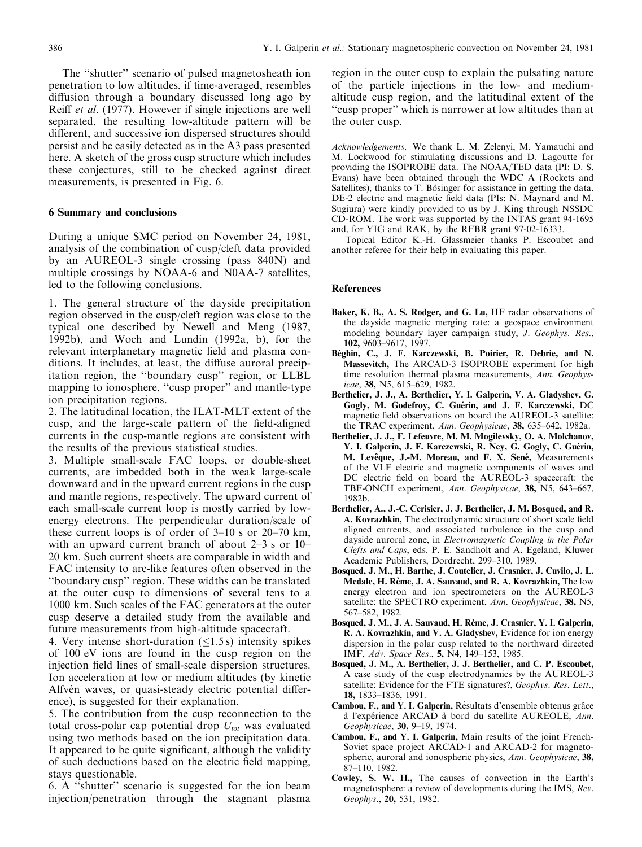The "shutter" scenario of pulsed magnetosheath ion penetration to low altitudes, if time-averaged, resembles diffusion through a boundary discussed long ago by Reiff *et al.* (1977). However if single injections are well separated, the resulting low-altitude pattern will be different, and successive ion dispersed structures should persist and be easily detected as in the A3 pass presented here. A sketch of the gross cusp structure which includes these conjectures, still to be checked against direct measurements, is presented in Fig. 6.

# 6 Summary and conclusions

During a unique SMC period on November 24, 1981, analysis of the combination of cusp/cleft data provided by an AUREOL-3 single crossing (pass 840N) and multiple crossings by NOAA-6 and N0AA-7 satellites, led to the following conclusions.

1. The general structure of the dayside precipitation region observed in the cusp/cleft region was close to the typical one described by Newell and Meng (1987, 1992b), and Woch and Lundin (1992a, b), for the relevant interplanetary magnetic field and plasma conditions. It includes, at least, the diffuse auroral precipitation region, the "boundary cusp" region, or LLBL mapping to ionosphere, "cusp proper" and mantle-type ion precipitation regions.

2. The latitudinal location, the ILAT-MLT extent of the cusp, and the large-scale pattern of the field-aligned currents in the cusp-mantle regions are consistent with the results of the previous statistical studies.

3. Multiple small-scale FAC loops, or double-sheet currents, are imbedded both in the weak large-scale downward and in the upward current regions in the cusp and mantle regions, respectively. The upward current of each small-scale current loop is mostly carried by lowenergy electrons. The perpendicular duration/scale of these current loops is of order of  $3-10$  s or  $20-70$  km, with an upward current branch of about  $2-3$  s or  $10-$ 20 km. Such current sheets are comparable in width and FAC intensity to arc-like features often observed in the ``boundary cusp'' region. These widths can be translated at the outer cusp to dimensions of several tens to a 1000 km. Such scales of the FAC generators at the outer cusp deserve a detailed study from the available and future measurements from high-altitude spacecraft.

4. Very intense short-duration  $(\leq1.5 \text{ s})$  intensity spikes of 100 eV ions are found in the cusp region on the injection field lines of small-scale dispersion structures. Ion acceleration at low or medium altitudes (by kinetic Alfvén waves, or quasi-steady electric potential difference), is suggested for their explanation.

5. The contribution from the cusp reconnection to the total cross-polar cap potential drop  $U_{tot}$  was evaluated using two methods based on the ion precipitation data. It appeared to be quite significant, although the validity of such deductions based on the electric field mapping, stays questionable.

6. A ``shutter'' scenario is suggested for the ion beam injection/penetration through the stagnant plasma region in the outer cusp to explain the pulsating nature of the particle injections in the low- and mediumaltitude cusp region, and the latitudinal extent of the ``cusp proper'' which is narrower at low altitudes than at the outer cusp.

Acknowledgements. We thank L. M. Zelenyi, M. Yamauchi and M. Lockwood for stimulating discussions and D. Lagoutte for providing the ISOPROBE data. The NOAA/TED data (PI: D. S. Evans) have been obtained through the WDC A (Rockets and Satellites), thanks to T. Bösinger for assistance in getting the data. DE-2 electric and magnetic field data (PIs: N. Maynard and M. Sugiura) were kindly provided to us by J. King through NSSDC CD-ROM. The work was supported by the INTAS grant 94-1695 and, for YIG and RAK, by the RFBR grant 97-02-16333.

Topical Editor K.-H. Glassmeier thanks P. Escoubet and another referee for their help in evaluating this paper.

# References

- Baker, K. B., A. S. Rodger, and G. Lu, HF radar observations of the dayside magnetic merging rate: a geospace environment modeling boundary layer campaign study, J. Geophys. Res., 102, 9603±9617, 1997.
- Béghin, C., J. F. Karczewski, B. Poirier, R. Debrie, and N. Massevitch, The ARCAD-3 ISOPROBE experiment for high time resolution thermal plasma measurements, Ann. Geophysicae, 38, N5, 615-629, 1982.
- Berthelier, J. J., A. Berthelier, Y. I. Galperin, V. A. Gladyshev, G. Gogly, M. Godefroy, C. Guérin, and J. F. Karczewski, DC magnetic field observations on board the AUREOL-3 satellite: the TRAC experiment, Ann. Geophysicae, 38, 635-642, 1982a.
- Berthelier, J. J., F. Lefeuvre, M. M. Mogilevsky, O. A. Molchanov, Y. I. Galperin, J. F. Karczewski, R. Ney, G. Gogly, C. Guérin, M. Levêque, J.-M. Moreau, and F. X. Sené, Measurements of the VLF electric and magnetic components of waves and DC electric field on board the AUREOL-3 spacecraft: the TBF-ONCH experiment, Ann. Geophysicae, 38, N5, 643-667, 1982b.
- Berthelier, A., J.-C. Cerisier, J. J. Berthelier, J. M. Bosqued, and R. A. Kovrazhkin, The electrodynamic structure of short scale field aligned currents, and associated turbulence in the cusp and dayside auroral zone, in Electromagnetic Coupling in the Polar Clefts and Caps, eds. P. E. Sandholt and A. Egeland, Kluwer Academic Publishers, Dordrecht, 299-310, 1989.
- Bosqued, J. M., H. Barthe, J. Coutelier, J. Crasnier, J. Cuvilo, J. L. Medale, H. Rème, J. A. Sauvaud, and R. A. Kovrazhkin, The low energy electron and ion spectrometers on the AUREOL-3 satellite: the SPECTRO experiment, Ann. Geophysicae, 38, N5, 567±582, 1982.
- Bosqued, J. M., J. A. Sauvaud, H. Rème, J. Crasnier, Y. I. Galperin, R. A. Kovrazhkin, and V. A. Gladyshev, Evidence for ion energy dispersion in the polar cusp related to the northward directed IMF, Adv. Space Res., 5, N4, 149-153, 1985.
- Bosqued, J. M., A. Berthelier, J. J. Berthelier, and C. P. Escoubet, A case study of the cusp electrodynamics by the AUREOL-3 satellite: Evidence for the FTE signatures?, Geophys. Res. Lett., 18, 1833±1836, 1991.
- Cambou, F., and Y. I. Galperin, Résultats d'ensemble obtenus grâce  $\dot{a}$  l'expérience ARCAD à bord du satellite AUREOLE, Ann. Geophysicae, 30, 9-19, 1974.
- Cambou, F., and Y. I. Galperin, Main results of the joint French-Soviet space project ARCAD-1 and ARCAD-2 for magnetospheric, auroral and ionospheric physics, Ann. Geophysicae, 38, 87±110, 1982.
- Cowley, S. W. H., The causes of convection in the Earth's magnetosphere: a review of developments during the IMS, Rev. Geophys., 20, 531, 1982.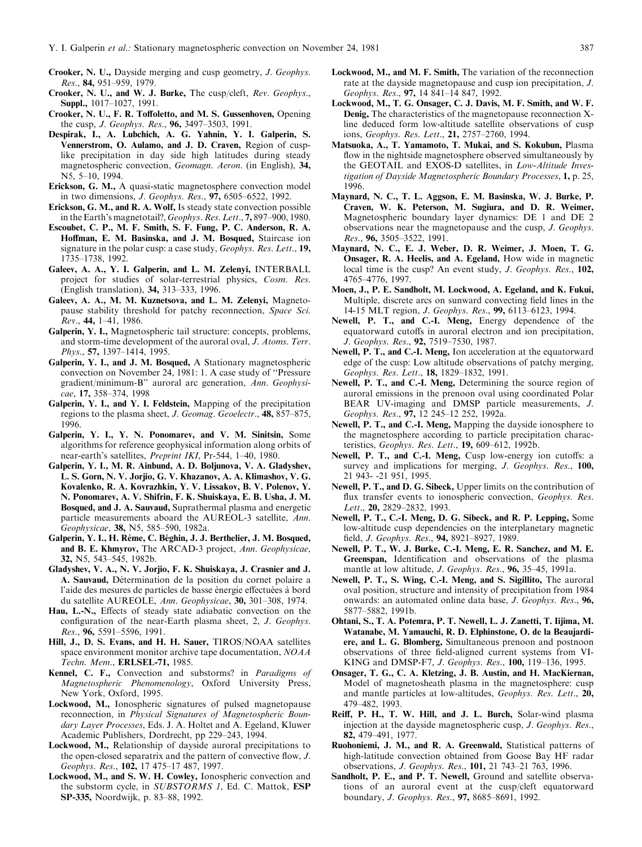- Crooker, N. U., Dayside merging and cusp geometry, J. Geophys. Res., 84, 951-959, 1979.
- Crooker, N. U., and W. J. Burke, The cusp/cleft, Rev. Geophys., Suppl., 1017-1027, 1991.
- Crooker, N. U., F. R. Toffoletto, and M. S. Gussenhoven, Opening the cusp, *J. Geophys. Res.*, **96,** 3497–3503, 1991.
- Despirak, I., A. Lubchich, A. G. Yahnin, Y. I. Galperin, S. Vennerstrom, O. Aulamo, and J. D. Craven, Region of cusplike precipitation in day side high latitudes during steady magnetospheric convection, Geomagn. Aeron. (in English), 34, N<sub>5</sub>, 5-10, 1994.
- Erickson, G. M., A quasi-static magnetosphere convection model in two dimensions, *J. Geophys. Res.*,  $97, 6505-6522, 1992$ .
- Erickson, G. M., and R. A. Wolf, Is steady state convection possible in the Earth's magnetotail?,  $Geophys$ . Res. Lett., 7, 897–900, 1980.
- Escoubet, C. P., M. F. Smith, S. F. Fung, P. C. Anderson, R. A. Hoffman, E. M. Basinska, and J. M. Bosqued, Staircase ion signature in the polar cusp: a case study, Geophys. Res. Lett., 19, 1735±1738, 1992.
- Galeev, A. A., Y. I. Galperin, and L. M. Zelenyi, INTERBALL project for studies of solar-terrestrial physics, Cosm. Res. (English translation), 34, 313-333, 1996.
- Galeev, A. A., M. M. Kuznetsova, and L. M. Zelenyi, Magnetopause stability threshold for patchy reconnection, Space Sci. Rev., 44, 1-41, 1986.
- Galperin, Y. I., Magnetospheric tail structure: concepts, problems, and storm-time development of the auroral oval, J. Atoms. Terr.  $Phys., 57, 1397–1414, 1995.$
- Galperin, Y. I., and J. M. Bosqued, A Stationary magnetospheric convection on November 24, 1981: 1. A case study of ``Pressure gradient/minimum-B'' auroral arc generation, Ann. Geophysicae, 17, 358-374, 1998
- Galperin, Y. I., and Y. I. Feldstein, Mapping of the precipitation regions to the plasma sheet, J. Geomag. Geoelectr., 48, 857-875, 1996.
- Galperin, Y. I., Y. N. Ponomarev, and V. M. Sinitsin, Some algorithms for reference geophysical information along orbits of near-earth's satellites, *Preprint IKI*, Pr-544, 1-40, 1980.
- Galperin, Y. I., M. R. Ainbund, A. D. Boljunova, V. A. Gladyshev, L. S. Gorn, N. V. Jorjio, G. V. Khazanov, A. A. Klimashov, V. G. Kovalenko, R. A. Kovrazhkin, Y. V. Lissakov, B. V. Polenov, Y. N. Ponomarev, A. V. Shifrin, F. K. Shuiskaya, E. B. Usha, J. M. Bosqued, and J. A. Sauvaud, Suprathermal plasma and energetic particle measurements aboard the AUREOL-3 satellite, Ann. Geophysicae, 38, N5, 585-590, 1982a.
- Galperin, Y. I., H. Rème, C. Béghin, J. J. Berthelier, J. M. Bosqued, and B. E. Khmyrov, The ARCAD-3 project, Ann. Geophysicae, 32, N5, 543-545, 1982b.
- Gladyshev, V. A., N. V. Jorjio, F. K. Shuiskaya, J. Crasnier and J. A. Sauvaud, Détermination de la position du cornet polaire a l'aide des mesures de particles de basse énergie effectuées à bord du satellite AUREOLE, Ann. Geophysicae, 30, 301-308, 1974.
- Hau, L.-N., Effects of steady state adiabatic convection on the configuration of the near-Earth plasma sheet, 2, J. Geophys. Res., 96, 5591-5596, 1991.
- Hill, J., D. S. Evans, and H. H. Sauer, TIROS/NOAA satellites space environment monitor archive tape documentation, NOAA Techn. Mem., ERLSEL-71, 1985.
- Kennel, C. F., Convection and substorms? in Paradigms of Magnetospheric Phenomenology, Oxford University Press, New York, Oxford, 1995.
- Lockwood, M., Ionospheric signatures of pulsed magnetopause reconnection, in Physical Signatures of Magnetospheric Boundary Layer Processes, Eds. J. A. Holtet and A. Egeland, Kluwer Academic Publishers, Dordrecht, pp 229-243, 1994.
- Lockwood, M., Relationship of dayside auroral precipitations to the open-closed separatrix and the pattern of convective flow,  $J$ . Geophys. Res., 102, 17 475-17 487, 1997.
- Lockwood, M., and S. W. H. Cowley, Ionospheric convection and the substorm cycle, in SUBSTORMS 1, Ed. C. Mattok, ESP SP-335, Noordwijk, p. 83-88, 1992.
- Lockwood, M., and M. F. Smith, The variation of the reconnection rate at the dayside magnetopause and cusp ion precipitation, J. Geophys. Res., 97, 14 841-14 847, 1992.
- Lockwood, M., T. G. Onsager, C. J. Davis, M. F. Smith, and W. F. Denig, The characteristics of the magnetopause reconnection Xline deduced form low-altitude satellite observations of cusp ions, Geophys. Res. Lett., 21, 2757-2760, 1994.
- Matsuoka, A., T. Yamamoto, T. Mukai, and S. Kokubun, Plasma flow in the nightside magnetosphere observed simultaneously by the GEOTAIL and EXOS-D satellites, in Low-Altitude Investigation of Dayside Magnetospheric Boundary Processes, 1, p. 25, 1996.
- Maynard, N. C., T. L. Aggson, E. M. Basinska, W. J. Burke, P. Craven, W. K. Peterson, M. Sugiura, and D. R. Weimer, Magnetospheric boundary layer dynamics: DE 1 and DE 2 observations near the magnetopause and the cusp, J. Geophys. Res., 96, 3505-3522, 1991.
- Maynard, N. C., E. J. Weber, D. R. Weimer, J. Moen, T. G. Onsager, R. A. Heelis, and A. Egeland, How wide in magnetic local time is the cusp? An event study, J. Geophys. Res., 102, 4765±4776, 1997.
- Moen, J., P. E. Sandholt, M. Lockwood, A. Egeland, and K. Fukui, Multiple, discrete arcs on sunward convecting field lines in the 14-15 MLT region, J. Geophys. Res., 99, 6113-6123, 1994.
- Newell, P. T., and C.-I. Meng, Energy dependence of the equatorward cutoffs in auroral electron and ion precipitation, J. Geophys. Res., 92, 7519-7530, 1987.
- Newell, P. T., and C.-I. Meng, Ion acceleration at the equatorward edge of the cusp: Low altitude observations of patchy merging, Geophys. Res. Lett., 18, 1829-1832, 1991.
- Newell, P. T., and C.-I. Meng, Determining the source region of auroral emissions in the prenoon oval using coordinated Polar BEAR UV-imaging and DMSP particle measurements, J. Geophys. Res., 97, 12 245-12 252, 1992a.
- Newell, P. T., and C.-I. Meng, Mapping the dayside ionosphere to the magnetosphere according to particle precipitation characteristics, Geophys. Res. Lett., 19, 609-612, 1992b.
- Newell, P. T., and C.-I. Meng, Cusp low-energy ion cutoffs: a survey and implications for merging, *J. Geophys. Res.*, 100, 21 943- -21 951, 1995.
- Newell, P. T., and D. G. Sibeck, Upper limits on the contribution of flux transfer events to ionospheric convection, Geophys. Res. Lett., 20, 2829-2832, 1993.
- Newell, P. T., C.-I. Meng, D. G. Sibeck, and R. P. Lepping, Some low-altitude cusp dependencies on the interplanetary magnetic field, *J. Geophys. Res.*, 94, 8921-8927, 1989.
- Newell, P. T., W. J. Burke, C.-I. Meng, E. R. Sanchez, and M. E. Greenspan, Identification and observations of the plasma mantle at low altitude, J. Geophys. Res., 96, 35-45, 1991a.
- Newell, P. T., S. Wing, C.-I. Meng, and S. Sigillito, The auroral oval position, structure and intensity of precipitation from 1984 onwards: an automated online data base, J. Geophys. Res., 96, 5877-5882, 1991b.
- Ohtani, S., T. A. Potemra, P. T. Newell, L. J. Zanetti, T. Iijima, M. Watanabe, M. Yamauchi, R. D. Elphinstone, O. de la Beaujardiere, and L. G. Blomberg, Simultaneous prenoon and postnoon observations of three field-aligned current systems from VI-KING and DMSP-F7, J. Geophys. Res., 100, 119-136, 1995.
- Onsager, T. G., C. A. Kletzing, J. B. Austin, and H. MacKiernan, Model of magnetosheath plasma in the magnetosphere: cusp and mantle particles at low-altitudes, Geophys. Res. Lett., 20, 479±482, 1993.
- Reiff, P. H., T. W. Hill, and J. L. Burch, Solar-wind plasma injection at the dayside magnetospheric cusp, J. Geophys. Res., 82, 479±491, 1977.
- Ruohoniemi, J. M., and R. A. Greenwald, Statistical patterns of high-latitude convection obtained from Goose Bay HF radar observations, *J. Geophys. Res.*, 101, 21 743-21 763, 1996.
- Sandholt, P. E., and P. T. Newell, Ground and satellite observations of an auroral event at the cusp/cleft equatorward boundary, J. Geophys. Res., 97, 8685-8691, 1992.